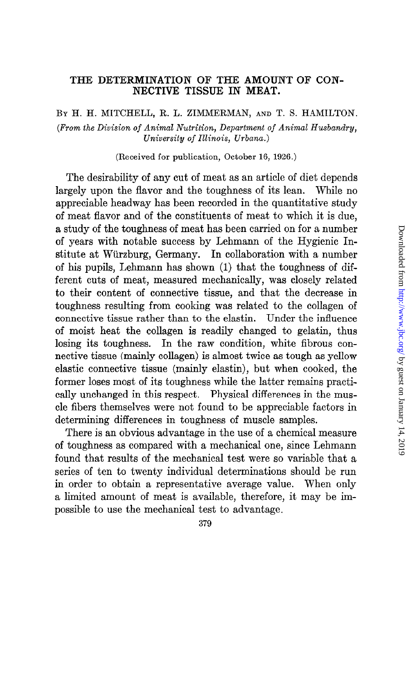### THE DETERMINATION OF THE AMOUNT OF CON-NECTIVE TISSUE IN MEAT.

BY H. H. MITCHELL, R. L. ZIMMERMAN, AND T. S. HAMILTON. (From the Division of Animal Nutrition, Department of Animal Husbandry, University of Illinois, Urbana.)

(Received for publication, October 16, 1926.)

The desirability of any cut of meat as an article of diet depends largely upon the flavor and the toughness of its lean. While no appreciable headway has been recorded in the quantitative study of meat flavor and of the constituents of meat to which it is due, a study of the toughness of meat has been carried on for a number of years with notable success by Lehmann of the Hygienic Institute at Wiirzburg, Germany. In collaboration with a number of his pupils, Lehmann has shown (1) that the toughness of different cuts of meat, measured mechanically, was closely related to their content of connective tissue, and that the decrease in toughness resulting from cooking was related to the collagen of connective tissue rather than to the elastin. Under the influence of moist heat the collagen is readily changed to gelatin, thus losing its toughness. In the raw condition, white fibrous connective tissue (mainly collagen) is almost twice as tough as yellow elastic connective tissue (mainly elastin), but when cooked, the former loses most of its toughness while the latter remains practically unchanged in this respect. Physical differences in the muscle fibers themselves were not found to be appreciable factors in determining differences in toughness of muscle samples.

There is an obvious advantage in the use of a chemical measure of toughness as compared with a mechanical one, since Lehmann found that results of the mechanical test were so variable that a series of ten to twenty individual determinations should be run in order to obtain a representative average value. When only a limited amount of meat is available, therefore, it may be impossible to use the mechanical test to advantage.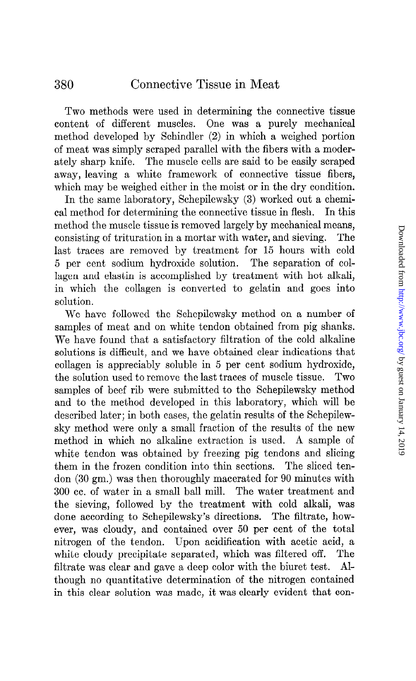Two methods were used in determining the connective tissue content of different muscles. One was a purely mechanical method developed by Schindler (2) in which a weighed portion of meat was simply scraped parallel with the fibers with a moderately sharp knife. The muscle cells are said to be easily scraped away, leaving a white framework of connective tissue fibers, which may be weighed either in the moist or in the dry condition.

In the same laboratory, Schepilewsky (3) worked out a chemical method for determining the connective tissue in flesh. In this method the muscle tissue is removed largely by mechanical means, consisting of trituration in a mortar with water, and sieving. The last traces are removed by treatment for 15 hours with cold 5 per cent sodium hydroxide solution. The separation of collagen and elastin is accomplished by treatment with hot alkali, in which the collagen is converted to gelatin and goes into solution.

We have followed the Schepilewsky method on a number of samples of meat and on white tendon obtained from pig shanks. We have found that a satisfactory filtration of the cold alkaline solutions is difficult, and we have obtained clear indications that collagen is appreciably soluble in 5 per cent sodium hydroxide, the solution used to remove the last traces of muscle tissue. Two samples of beef rib were submitted to the Schepilewsky method and to the method developed in this laboratory, which will be described later; in both cases, the gelatin results of the Schepilewsky method were only a small fraction of the results of the new method in which no alkaline extraction is used. A sample of white tendon was obtained by freezing pig tendons and slicing them in the frozen condition into thin sections. The sliced tendon (30 gm.) was then thoroughly macerated for 90 minutes with 300 cc. of water in a small ball mill. The water treatment and the sieving, followed by the treatment with cold alkali, was done according to Schepilewsky's directions. The filtrate, however, was cloudy, and contained over 50 per cent of the total nitrogen of the tendon. Upon acidification with acetic acid, a white cloudy precipitate separated, which was filtered off. The filtrate was clear and gave a deep color with the biuret test. Although no quantitative determination of the nitrogen contained in this clear solution was made, it was clearly evident that con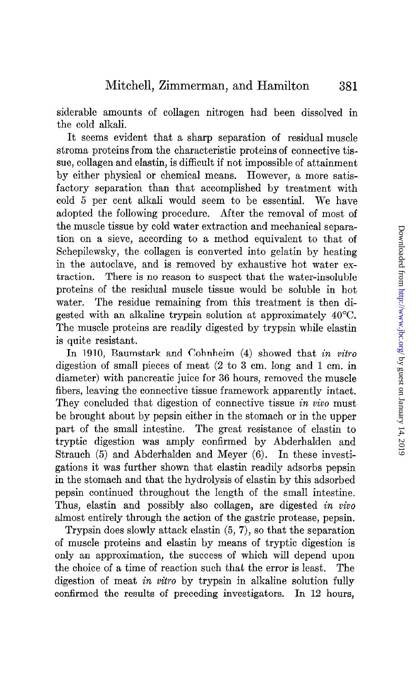siderable amounts of collagen nitrogen had been dissolved in the cold alkali.

It seems evident that a sharp separation of residual muscle stroma proteins from the characteristic proteins of connective tissue, collagen and elastin, is difficult if not impossible of attainment by either physical or chemical means. However, a more satisfactory separation than that accomplished by treatment with cold 5 per cent alkali would seem to be essential. We have adopted the following procedure. After the removal of most of the muscle tissue by cold water extraction and mechanical separation on a sieve, according to a method equivalent to that of Schepilewsky, the collagen is converted into gelatin by heating in the autoclave, and is removed by exhaustive hot water extraction. There is no reason to suspect that the water-insoluble proteins of the residual muscle tissue would be soluble in hot water. The residue remaining from this treatment is then digested with an alkaline trypsin solution at approximately 40°C. The muscle proteins are readily digested by trypsin while elastin is quite resistant.

In 1910, Baumstark and Cohnheim (4) showed that in vitro digestion of small pieces of meat (2 to 3 cm. long and 1 cm. in diameter) with pancreatic juice for 36 hours, removed the muscle fibers, leaving the connective tissue framework apparently intact. They concluded that digestion of connective tissue in vivo must be brought about by pepsin either in the stomach or in the upper part of the small intestine. The great resistance of elastin to tryptic digestion was amply confirmed by Abderhalden and Strauch (5) and Abderhalden and Meyer (6). In these investigations it was further shown that elastin readily adsorbs pepsin in the stomach and that the hydrolysis of elastin by this adsorbed pepsin continued throughout the length of the small intestine. Thus, elastin and possibly also collagen, are digested in vivo almost entirely through the action of the gastric protease, pepsin.

Trypsin does slowly attack elastin (5, 7), so that the separation of muscle proteins and elastin by means of tryptic digestion is only an approximation, the success of which will depend upon the choice of a time of reaction such that the error is least. The digestion of meat in vitro by trypsin in alkaline solution fully confirmed the results of preceding investigators. In 12 hours,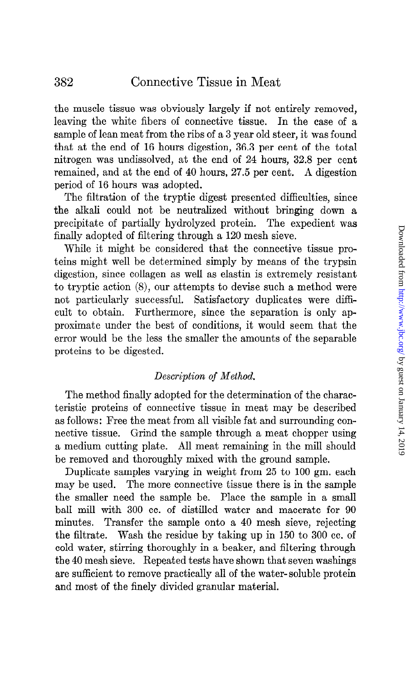the muscle tissue was obviously largely if not entirely removed, leaving the white fibers of connective tissue. In the case of a sample of lean meat from the ribs of a 3 year old steer, it was found that at the end of 16 hours digestion, 36.3 per cent of the total nitrogen was undissolved, at the end of 24 hours, 32.8 per cent remained, and at the end of 40 hours, 27.5 per cent. A digestion period of 16 hours was adopted.

The filtration of the tryptic digest presented difficulties, since the alkali could not be neutralized without bringing down a precipitate of partially hydrolyzed protein. The expedient was finally adopted of filtering through a 120 mesh sieve.

While it might be considered that the connective tissue proteins might well be determined simply by means of the trypsin digestion, since collagen as well as elastin is extremely resistant to tryptic action (8), our attempts to devise such a method were not particularly successful. Satisfactory duplicates were difficult to obtain. Furthermore, since the separation is only approximate under the best of conditions, it would seem that the error would be the less the smaller the amounts of the separable proteins to be digested.

## Description of Method.

The method finally adopted for the determination of the characteristic proteins of connective tissue in meat may be described as follows: Free the meat from all visible fat and surrounding connective tissue. Grind the sample through a meat chopper using a medium cutting plate. All meat remaining in the mill should be removed and thoroughly mixed with the ground sample.

Duplicate samples varying in weight from 25 to 100 gm. each may be used. The more connective tissue there is in the sample the smaller need the sample be. Place the sample in a small ball mill with 300 cc. of distilled water and macerate for 90 minutes. Transfer the sample onto a 40 mesh sieve, rejecting the filtrate. Wash the residue by taking up in 150 to 300 cc. of cold water, stirring thoroughly in a beaker, and filtering through the 40 mesh sieve. Repeated tests have shown that seven washings are sufficient to remove practically all of the water- soluble protein and most of the finely divided granular material.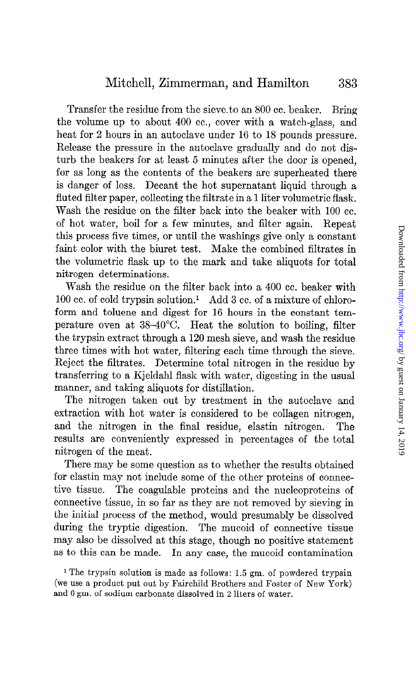Transfer the residue from the sieve.to an 800 cc. beaker. Bring the volume up to about 400 cc., cover with a watch-glass, and heat for 2 hours in an autoclave under 16 to 18 pounds pressure. Release the pressure in the autoclave gradually and do not disturb the beakers for at least 5 minutes after the door is opened, for as long as the contents of the beakers are superheated there is danger of loss. Decant the hot supernatant liquid through a fluted filter paper, collecting the filtrate in a 1 liter volumetric flask. Wash the residue on the filter back into the beaker with 100 cc. of hot water, boil for a few minutes, and filter again. Repeat this process five times, or until the washings give only a constant faint color with the biuret test. Make the combined filtrates in the volumetric flask up to the mark and take aliquots for total nitrogen determinations.

Wash the residue on the filter back into a 400 cc. beaker with  $100$  cc. of cold trypsin solution.<sup>1</sup> Add 3 cc. of a mixture of chloroform and toluene and digest for 16 hours in the constant temperature oven at 38-4O"C. Heat the solution to boiling, filter the trypsin extract through a 120 mesh sieve, and wash the residue three times with hot water, filtering each time through the sieve. Reject the filtrates. Determine total nitrogen in the residue by transferring to a Kjeldahl flask with water, digesting in the usual manner, and taking aliquots for distillation.

The nitrogen taken out by treatment in the autoclave and extraction with hot water is considered to be collagen nitrogen, and the nitrogen in the final residue, elastin nitrogen. The results are conveniently expressed in percentages of the total nitrogen of the meat.

There may be some question as to whether the results obtained for elastin may not include some of the other proteins of connective tissue. The coagulable proteins and the nucleoproteins of connective tissue, in so far as they are not removed by sieving in the initial process of the method, would presumably be dissolved during the tryptic digestion. The mucoid of connective tissue may also be dissolved at this stage, though no positive statement as to this can be made. In any case, the mucoid contamination

<sup>&</sup>lt;sup>1</sup> The trypsin solution is made as follows: 1.5 gm. of powdered trypsin (we use a product put out by Fairchild Brothers and Foster of New York) and 6 gm. of sodium carbonate dissolved in 2 liters of water.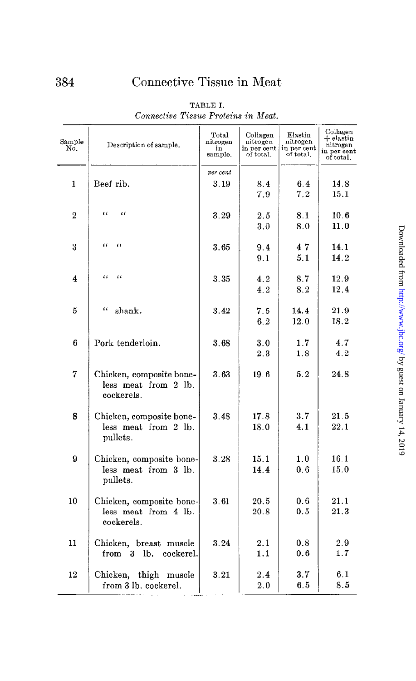| Sample<br>No.  | Description of sample.                                         | Total<br>nitrogen<br>in<br>sample. | Collagen<br>nitrogen<br>in per cent<br>of total. | Elastin<br>nitrogen<br>in per cent<br>of total. | Collagen<br>$+$ elastin<br>nitrogen<br>in per cent<br>of total. |
|----------------|----------------------------------------------------------------|------------------------------------|--------------------------------------------------|-------------------------------------------------|-----------------------------------------------------------------|
| 1              | Beef rib.                                                      | per cent<br>3.19                   | 8.4<br>7.9                                       | 6.4<br>7.2                                      | 14.8<br>15.1                                                    |
| $\overline{2}$ | $\mathfrak{c}$<br>$\epsilon$                                   | 3.29                               | $2.5\,$<br>3.0                                   | 8.1<br>8.0                                      | 10.6<br>11.0                                                    |
| 3              | $\alpha$<br>$\alpha$                                           | 3.65                               | 9.4<br>9.1                                       | 47<br>5.1                                       | 14.1<br>14.2                                                    |
| 4              | $\epsilon$<br>$\mathfrak{c}$                                   | 3.35                               | 4.2<br>4.2                                       | 8.7<br>8.2                                      | 12.9<br>12.4                                                    |
| 5              | t c<br>shank.                                                  | 3.42                               | 7.5<br>6.2                                       | 14.4<br>12.0                                    | 21.9<br>18.2                                                    |
| 6              | Pork tenderloin.                                               | 3.68                               | 3.0<br>2.3                                       | 1.7<br>1.8                                      | 4.7<br>4.2                                                      |
| 7              | Chicken, composite bone-<br>less meat from 2 lb.<br>cockerels. | 3.63                               | 19.6                                             | 5.2                                             | 24.8                                                            |
| 8              | Chicken, composite bone-<br>less meat from 2 lb.<br>pullets.   | 3.48                               | 17.8<br>18.0                                     | 3.7<br>4.1                                      | 21.5<br>22.1                                                    |
| 9              | Chicken, composite bone-<br>less meat from 3 lb.<br>pullets.   | 3.28                               | 15.1<br>14.4                                     | 1.0<br>0.6                                      | 16.1<br>15.0                                                    |
| 10             | Chicken, composite bone-<br>less meat from 4 lb.<br>cockerels. | 3.61                               | 20.5<br>20.8                                     | 0.6<br>0.5                                      | 21.1<br>21.3                                                    |
| 11             | Chicken, breast muscle<br>from 3<br>$1b$ .<br>cockerel.        | 3.24                               | 2.1<br>1.1                                       | 0.8<br>0.6                                      | 2.9<br>1.7                                                      |
| 12             | Chicken, thigh muscle<br>from 3 lb. cockerel.                  | 3.21                               | 2.4<br>2.0                                       | 3.7<br>6.5                                      | 6.1<br>8.5                                                      |

TABLE I. Connective Tissue Proteins in Meat.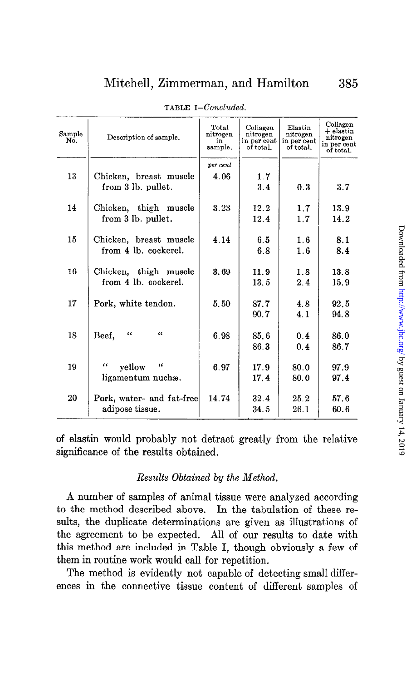| Sample<br>No. | Description of sample.         | Total<br>nitrogen<br>in | Collagen<br>nitrogen<br>in per cent | Elastin<br>nitrogen<br>in per cent | Collagen<br>$+$ elastin<br>nitrogen<br>in per cent |
|---------------|--------------------------------|-------------------------|-------------------------------------|------------------------------------|----------------------------------------------------|
|               |                                | sample.                 | of total.                           | of total.                          | of total.                                          |
|               |                                | per cent                |                                     |                                    |                                                    |
| 13            | Chicken, breast muscle         | 4.06                    | 1.7                                 |                                    |                                                    |
|               | from 3 lb. pullet.             |                         | 3.4                                 | 0.3                                | 3.7                                                |
| 14            | Chicken, thigh muscle          | 3.23                    | 12.2                                | 1.7                                | 13.9                                               |
|               | from 3 lb. pullet.             |                         | 12.4                                | 1.7                                | 14.2                                               |
|               |                                |                         |                                     |                                    |                                                    |
| 15            | Chicken, breast muscle         | 4.14                    | 6.5                                 | 1.6                                | 8.1                                                |
|               | from 4 lb. cockerel.           |                         | 6.8                                 | 1.6                                | 8.4                                                |
| 16            | Chicken, thigh muscle          | 3.69                    | 11.9                                | 1.8                                | 13.8                                               |
|               | from 4 lb. cockerel.           |                         | 13.5                                | 2.4                                | 15.9                                               |
| 17            | Pork, white tendon.            | 5.50                    | 87.7                                | 4.8                                | 92.5                                               |
|               |                                |                         | 90.7                                | 4.1                                | 94.8                                               |
|               |                                |                         |                                     |                                    |                                                    |
| 18            | $\iota$<br>$\epsilon$<br>Beef, | 6.98                    | 85.6                                | 0.4                                | 86.0                                               |
|               |                                |                         | 86.3                                | 0.4                                | 86.7                                               |
| 19            | $\epsilon$<br>"<br>yellow      | 6.97                    | 17.9                                | 80.0                               | 97.9                                               |
|               | ligamentum nuchæ.              |                         | 17.4                                | 80.0                               | 97.4                                               |
|               |                                |                         |                                     |                                    |                                                    |
| 20            | Pork, water- and fat-free      | 14.74                   | 32.4                                | 25.2                               | 57.6                                               |
|               | adipose tissue.                |                         | 34.5                                | 26.1                               | 60.6                                               |

TABLE I-Concluded.

of elastin would probably not detract greatly from the relative significance of the results obtained.

#### Results Obtained by the Method.

A number of samples of animal tissue were analyzed according to the method described above. In the tabulation of these results, the duplicate determinations are given as illustrations of the agreement to be expected. All of our results to date with this method are included in Table I, though obviously a few of them in routine work would call for repetition.

The method is evidently not capable of detecting small differences in the connective tissue content of different samples of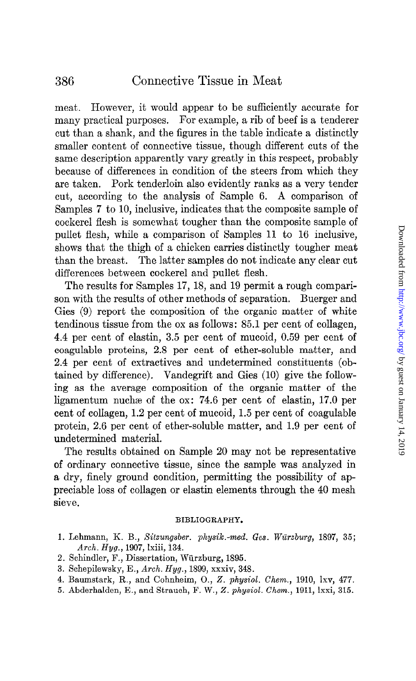meat. However, it would appear to be sufficiently accurate for many practical purposes. For example, a rib of beef is a tenderer cut than a shank, and the figures in the table indicate a distinctly smaller content of connective tissue, though different cuts of the same description apparently vary greatly in this respect, probably because of differences in condition of the steers from which they are taken. Pork tenderloin also evidently ranks as a very tender cut, according to the analysis of Sample 6. A comparison of Samples 7 to 10, inclusive, indicates that the composite sample of cockerel flesh is somewhat tougher than the composite sample of pullet flesh, while a comparison of Samples 11 to 16 inclusive, shows that the thigh of a chicken carries distinctly tougher meat than the breast. The latter samples do not indicate any clear cut differences between cockerel and pullet flesh.

The results for Samples 17, 18, and 19 permit a rough comparison with the results of other methods of separation. Buerger and Gies (9) report the composition of the organic matter of white tendinous tissue from the ox as follows: 85.1 per cent of collagen, 4.4 per cent of elastin, 3.5 per cent of mucoid, 0.59 per cent of coagulable proteins, 2.8 per cent of ether-soluble matter, and 2.4 per cent of extractives and undetermined constituents (obtained by difference). Vandegrift and Gies (10) give the following as the average composition of the organic matter of the ligamentum nuchae of the ox: 74.6 per cent of elastin, 17.0 per cent of collagen, 1.2 per cent of mucoid, 1.5 per cent of coagulable protein, 2.6 per cent of ether-soluble matter, and 1.9 per cent of undetermined material.

The results obtained on Sample 20 may not be representative of ordinary connective tissue, since the sample was analyzed in a dry, finely ground condition, permitting the possibility of appreciable loss of collagen or elastin elements through the 40 mesh sieve.

#### BIBLIOGRAPHY.

- 1. Lehmann, K. B., Sitzungsber. physik.-med. Ges. Würzburg, 1897, 35; Arch. Hyg., 1907, Ixiii, 134.
- 2. Schindler, F., Dissertation, Würzburg, 1895.
- 3. Schepilewsky, E., Arch. Hyg., 1899, xxxiv, 348.
- 4. Baumstark, R., and Cohnheim, O., 2. physiol. Chem., 1910, Ixv, 477.
- 5. Abderhalden, E., and Strauch, F. W., Z. physiol. Chem., 1911, lxxi, 315.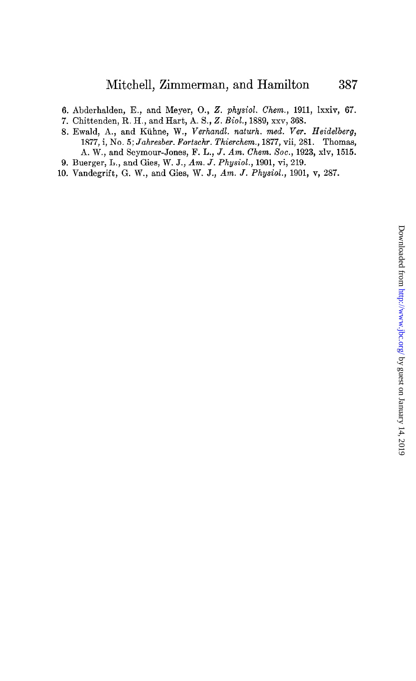- 6. Abderhalden, E., and Meyer, O., 2. physiol. Chem., 1911, Ixxiv, 67.
- 7. Chittenden, R. H., and Hart, A. S., Z. Biol., 1889, xxv, 368.
- 8. Ewald, A., and Kiihne, W., Verhandl. naturh. med. Ver. Heidelberg, 1877, i, No. 5; Jahresber. Fortschr. Thierchem., 1877, vii, 281. Thomas, A. W., and Seymour-Jones, F. L., J. Am. Chem. Xoc., 1923, xlv, 1515. 9. Buerger, L., and Gies, W. J., Am. J. Physiol., 1901, vi, 219.
- 10. Vandegrift, G. W., and Gies, W. J., Am. J. Physiol., 1901, v, 287.